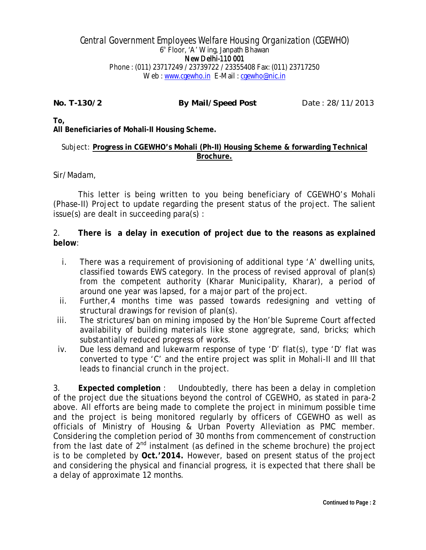## Central Government Employees Welfare Housing Organization (CGEWHO) 6th Floor, 'A' Wing, Janpath Bhawan New Delhi-110 001 Phone : (011) 23717249 / 23739722 / 23355408 Fax: (011) 23717250 Web : www.cgewho.in E-Mail : cgewho@nic.in

**No. T-130/2 By Mail/Speed Post** Date : 28/11/2013

**To,**

**All Beneficiaries of Mohali-II Housing Scheme.**

## Subject: **Progress in CGEWHO's Mohali (Ph-II) Housing Scheme & forwarding Technical Brochure.**

Sir/Madam,

This letter is being written to you being beneficiary of CGEWHO's Mohali (Phase-II) Project to update regarding the present status of the project. The salient issue(s) are dealt in succeeding para(s) :

2. **There is a delay in execution of project due to the reasons as explained below**:

- i. There was a requirement of provisioning of additional type 'A' dwelling units, classified towards EWS category. In the process of revised approval of plan(s) from the competent authority (Kharar Municipality, Kharar), a period of around one year was lapsed, for a major part of the project.
- ii. Further,4 months time was passed towards redesigning and vetting of structural drawings for revision of plan(s).
- iii. The strictures/ban on mining imposed by the Hon'ble Supreme Court affected availability of building materials like stone aggregrate, sand, bricks; which substantially reduced progress of works.
- iv. Due less demand and lukewarm response of type 'D' flat(s), type 'D' flat was converted to type 'C' and the entire project was split in Mohali-II and III that leads to financial crunch in the project.

3. **Expected completion** : Undoubtedly, there has been a delay in completion of the project due the situations beyond the control of CGEWHO, as stated in para-2 above. All efforts are being made to complete the project in minimum possible time and the project is being monitored regularly by officers of CGEWHO as well as officials of Ministry of Housing & Urban Poverty Alleviation as PMC member. Considering the completion period of 30 months from commencement of construction from the last date of  $2^{nd}$  instalment (as defined in the scheme brochure) the project is to be completed by **Oct.'2014.** However, based on present status of the project and considering the physical and financial progress, it is expected that there shall be a delay of approximate 12 months.